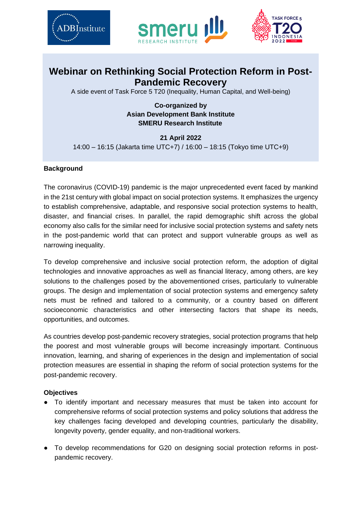





## **Webinar on Rethinking Social Protection Reform in Post-Pandemic Recovery**

A side event of Task Force 5 T20 (Inequality, Human Capital, and Well-being)

**Co-organized by Asian Development Bank Institute SMERU Research Institute** 

**21 April 2022**  14:00 – 16:15 (Jakarta time UTC+7) / 16:00 – 18:15 (Tokyo time UTC+9)

## **Background**

The coronavirus (COVID-19) pandemic is the major unprecedented event faced by mankind in the 21st century with global impact on social protection systems. It emphasizes the urgency to establish comprehensive, adaptable, and responsive social protection systems to health, disaster, and financial crises. In parallel, the rapid demographic shift across the global economy also calls for the similar need for inclusive social protection systems and safety nets in the post-pandemic world that can protect and support vulnerable groups as well as narrowing inequality.

To develop comprehensive and inclusive social protection reform, the adoption of digital technologies and innovative approaches as well as financial literacy, among others, are key solutions to the challenges posed by the abovementioned crises, particularly to vulnerable groups. The design and implementation of social protection systems and emergency safety nets must be refined and tailored to a community, or a country based on different socioeconomic characteristics and other intersecting factors that shape its needs, opportunities, and outcomes.

As countries develop post-pandemic recovery strategies, social protection programs that help the poorest and most vulnerable groups will become increasingly important. Continuous innovation, learning, and sharing of experiences in the design and implementation of social protection measures are essential in shaping the reform of social protection systems for the post-pandemic recovery.

## **Objectives**

- To identify important and necessary measures that must be taken into account for comprehensive reforms of social protection systems and policy solutions that address the key challenges facing developed and developing countries, particularly the disability, longevity poverty, gender equality, and non-traditional workers.
- To develop recommendations for G20 on designing social protection reforms in postpandemic recovery.